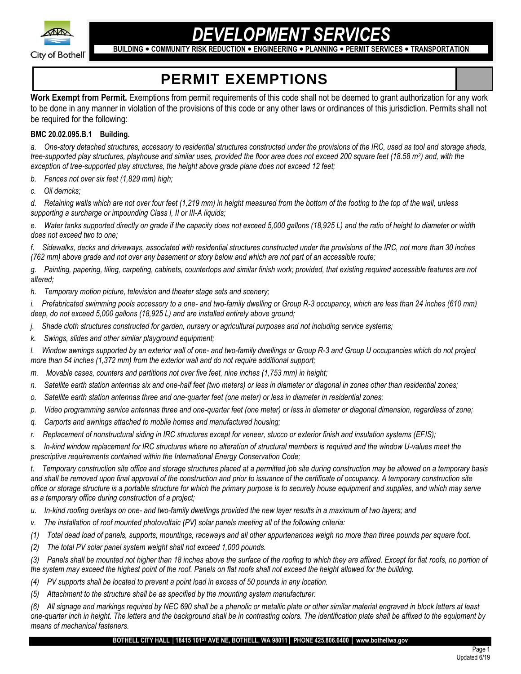

# *DEVELOPMENT SERVICES*

**BUILDING COMMUNITY RISK REDUCTION ENGINEERING PLANNING PERMIT SERVICES TRANSPORTATION**

## **PERMIT EXEMPTIONS**

**Work Exempt from Permit.** Exemptions from permit requirements of this code shall not be deemed to grant authorization for any work to be done in any manner in violation of the provisions of this code or any other laws or ordinances of this jurisdiction. Permits shall not be required for the following:

#### **BMC 20.02.095.B.1 Building.**

*a. One-story detached structures, accessory to residential structures constructed under the provisions of the IRC, used as tool and storage sheds, tree-supported play structures, playhouse and similar uses, provided the floor area does not exceed 200 square feet (18.58 m<sup>2</sup> ) and, with the exception of tree-supported play structures, the height above grade plane does not exceed 12 feet;*

- *b. Fences not over six feet (1,829 mm) high;*
- *c. Oil derricks;*

*d. Retaining walls which are not over four feet (1,219 mm) in height measured from the bottom of the footing to the top of the wall, unless supporting a surcharge or impounding Class I, II or III-A liquids;*

*e. Water tanks supported directly on grade if the capacity does not exceed 5,000 gallons (18,925 L) and the ratio of height to diameter or width does not exceed two to one;*

*f. Sidewalks, decks and driveways, associated with residential structures constructed under the provisions of the IRC, not more than 30 inches (762 mm) above grade and not over any basement or story below and which are not part of an accessible route;*

*g. Painting, papering, tiling, carpeting, cabinets, countertops and similar finish work; provided, that existing required accessible features are not altered;*

*h. Temporary motion picture, television and theater stage sets and scenery;*

*i. Prefabricated swimming pools accessory to a one- and two-family dwelling or Group R-3 occupancy, which are less than 24 inches (610 mm) deep, do not exceed 5,000 gallons (18,925 L) and are installed entirely above ground;*

- *j. Shade cloth structures constructed for garden, nursery or agricultural purposes and not including service systems;*
- *k. Swings, slides and other similar playground equipment;*

*l. Window awnings supported by an exterior wall of one- and two-family dwellings or Group R-3 and Group U occupancies which do not project more than 54 inches (1,372 mm) from the exterior wall and do not require additional support;*

- *m. Movable cases, counters and partitions not over five feet, nine inches (1,753 mm) in height;*
- *n. Satellite earth station antennas six and one-half feet (two meters) or less in diameter or diagonal in zones other than residential zones;*
- *o. Satellite earth station antennas three and one-quarter feet (one meter) or less in diameter in residential zones;*
- *p. Video programming service antennas three and one-quarter feet (one meter) or less in diameter or diagonal dimension, regardless of zone;*
- *q. Carports and awnings attached to mobile homes and manufactured housing;*
- *r. Replacement of nonstructural siding in IRC structures except for veneer, stucco or exterior finish and insulation systems (EFIS);*

*s. In-kind window replacement for IRC structures where no alteration of structural members is required and the window U-values meet the prescriptive requirements contained within the International Energy Conservation Code;*

*t. Temporary construction site office and storage structures placed at a permitted job site during construction may be allowed on a temporary basis*  and shall be removed upon final approval of the construction and prior to issuance of the certificate of occupancy. A temporary construction site *office or storage structure is a portable structure for which the primary purpose is to securely house equipment and supplies, and which may serve as a temporary office during construction of a project;*

- *u. In-kind roofing overlays on one- and two-family dwellings provided the new layer results in a maximum of two layers; and*
- *v. The installation of roof mounted photovoltaic (PV) solar panels meeting all of the following criteria:*
- *(1) Total dead load of panels, supports, mountings, raceways and all other appurtenances weigh no more than three pounds per square foot.*
- *(2) The total PV solar panel system weight shall not exceed 1,000 pounds.*
- *(3) Panels shall be mounted not higher than 18 inches above the surface of the roofing to which they are affixed. Except for flat roofs, no portion of the system may exceed the highest point of the roof. Panels on flat roofs shall not exceed the height allowed for the building.*
- *(4) PV supports shall be located to prevent a point load in excess of 50 pounds in any location.*
- *(5) Attachment to the structure shall be as specified by the mounting system manufacturer.*

*(6) All signage and markings required by NEC 690 shall be a phenolic or metallic plate or other similar material engraved in block letters at least one-quarter inch in height. The letters and the background shall be in contrasting colors. The identification plate shall be affixed to the equipment by means of mechanical fasteners.*